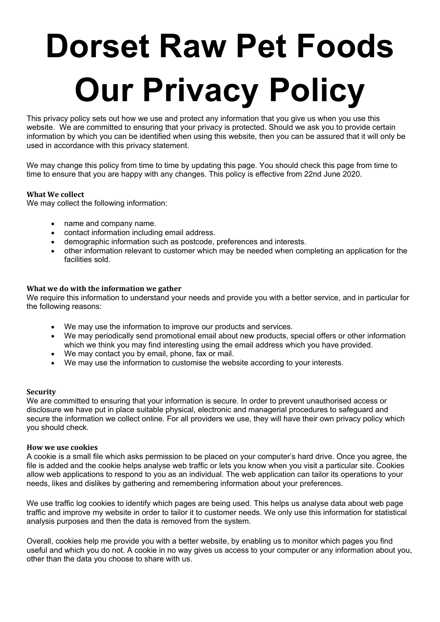# **Dorset Raw Pet Foods Our Privacy Policy**

This privacy policy sets out how we use and protect any information that you give us when you use this website. We are committed to ensuring that your privacy is protected. Should we ask you to provide certain information by which you can be identified when using this website, then you can be assured that it will only be used in accordance with this privacy statement.

We may change this policy from time to time by updating this page. You should check this page from time to time to ensure that you are happy with any changes. This policy is effective from 22nd June 2020.

# **What We collect**

We may collect the following information:

- name and company name.
- contact information including email address.
- demographic information such as postcode, preferences and interests.
- other information relevant to customer which may be needed when completing an application for the facilities sold.

# **What we do with the information we gather**

We require this information to understand your needs and provide you with a better service, and in particular for the following reasons:

- We may use the information to improve our products and services.
- We may periodically send promotional email about new products, special offers or other information which we think you may find interesting using the email address which you have provided.
- We may contact you by email, phone, fax or mail.
- We may use the information to customise the website according to your interests.

# **Security**

We are committed to ensuring that your information is secure. In order to prevent unauthorised access or disclosure we have put in place suitable physical, electronic and managerial procedures to safeguard and secure the information we collect online. For all providers we use, they will have their own privacy policy which you should check.

# **How we use cookies**

A cookie is a small file which asks permission to be placed on your computer's hard drive. Once you agree, the file is added and the cookie helps analyse web traffic or lets you know when you visit a particular site. Cookies allow web applications to respond to you as an individual. The web application can tailor its operations to your needs, likes and dislikes by gathering and remembering information about your preferences.

We use traffic log cookies to identify which pages are being used. This helps us analyse data about web page traffic and improve my website in order to tailor it to customer needs. We only use this information for statistical analysis purposes and then the data is removed from the system.

Overall, cookies help me provide you with a better website, by enabling us to monitor which pages you find useful and which you do not. A cookie in no way gives us access to your computer or any information about you, other than the data you choose to share with us.